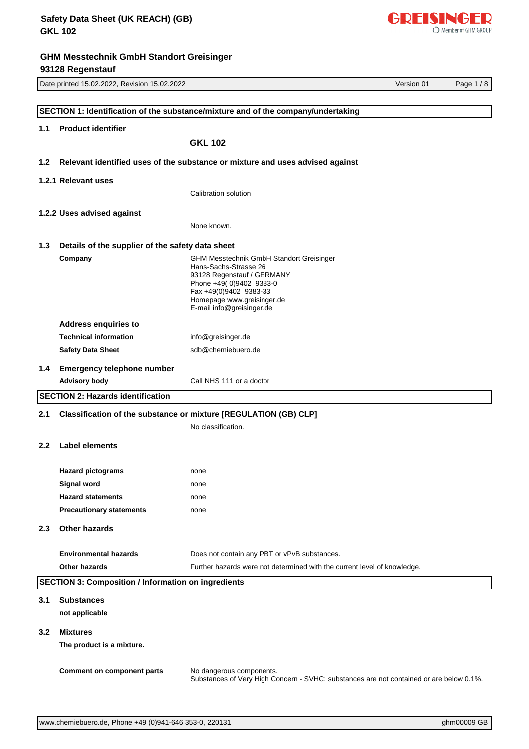|                  | Date printed 15.02.2022, Revision 15.02.2022               |                                                                                                                     | Version 01 | Page 1/8 |
|------------------|------------------------------------------------------------|---------------------------------------------------------------------------------------------------------------------|------------|----------|
|                  |                                                            |                                                                                                                     |            |          |
|                  |                                                            | SECTION 1: Identification of the substance/mixture and of the company/undertaking                                   |            |          |
| 1.1              | <b>Product identifier</b>                                  |                                                                                                                     |            |          |
|                  |                                                            | <b>GKL 102</b>                                                                                                      |            |          |
| 1.2              |                                                            | Relevant identified uses of the substance or mixture and uses advised against                                       |            |          |
|                  | 1.2.1 Relevant uses                                        |                                                                                                                     |            |          |
|                  |                                                            | Calibration solution                                                                                                |            |          |
|                  | 1.2.2 Uses advised against                                 |                                                                                                                     |            |          |
|                  |                                                            | None known.                                                                                                         |            |          |
| 1.3              | Details of the supplier of the safety data sheet           |                                                                                                                     |            |          |
|                  | Company                                                    | <b>GHM Messtechnik GmbH Standort Greisinger</b>                                                                     |            |          |
|                  |                                                            | Hans-Sachs-Strasse 26<br>93128 Regenstauf / GERMANY                                                                 |            |          |
|                  |                                                            | Phone +49(0)9402 9383-0<br>Fax +49(0)9402 9383-33                                                                   |            |          |
|                  |                                                            | Homepage www.greisinger.de                                                                                          |            |          |
|                  |                                                            | E-mail info@greisinger.de                                                                                           |            |          |
|                  | <b>Address enquiries to</b>                                |                                                                                                                     |            |          |
|                  | <b>Technical information</b>                               | info@greisinger.de                                                                                                  |            |          |
|                  | <b>Safety Data Sheet</b>                                   | sdb@chemiebuero.de                                                                                                  |            |          |
| 1.4              | <b>Emergency telephone number</b>                          |                                                                                                                     |            |          |
|                  | <b>Advisory body</b>                                       | Call NHS 111 or a doctor                                                                                            |            |          |
|                  | <b>SECTION 2: Hazards identification</b>                   |                                                                                                                     |            |          |
| 2.1              |                                                            | Classification of the substance or mixture [REGULATION (GB) CLP]                                                    |            |          |
|                  |                                                            | No classification.                                                                                                  |            |          |
| 2.2 <sub>2</sub> | Label elements                                             |                                                                                                                     |            |          |
|                  |                                                            |                                                                                                                     |            |          |
|                  | <b>Hazard pictograms</b>                                   | none                                                                                                                |            |          |
|                  | <b>Signal word</b>                                         | none                                                                                                                |            |          |
|                  | <b>Hazard statements</b>                                   | none                                                                                                                |            |          |
|                  | <b>Precautionary statements</b>                            | none                                                                                                                |            |          |
| 2.3              | <b>Other hazards</b>                                       |                                                                                                                     |            |          |
|                  |                                                            |                                                                                                                     |            |          |
|                  | <b>Environmental hazards</b>                               | Does not contain any PBT or vPvB substances.                                                                        |            |          |
|                  | Other hazards                                              | Further hazards were not determined with the current level of knowledge.                                            |            |          |
|                  | <b>SECTION 3: Composition / Information on ingredients</b> |                                                                                                                     |            |          |
| 3.1              | <b>Substances</b>                                          |                                                                                                                     |            |          |
|                  | not applicable                                             |                                                                                                                     |            |          |
| 3.2              | <b>Mixtures</b>                                            |                                                                                                                     |            |          |
|                  | The product is a mixture.                                  |                                                                                                                     |            |          |
|                  |                                                            |                                                                                                                     |            |          |
|                  | <b>Comment on component parts</b>                          | No dangerous components.<br>Substances of Very High Concern - SVHC: substances are not contained or are below 0.1%. |            |          |

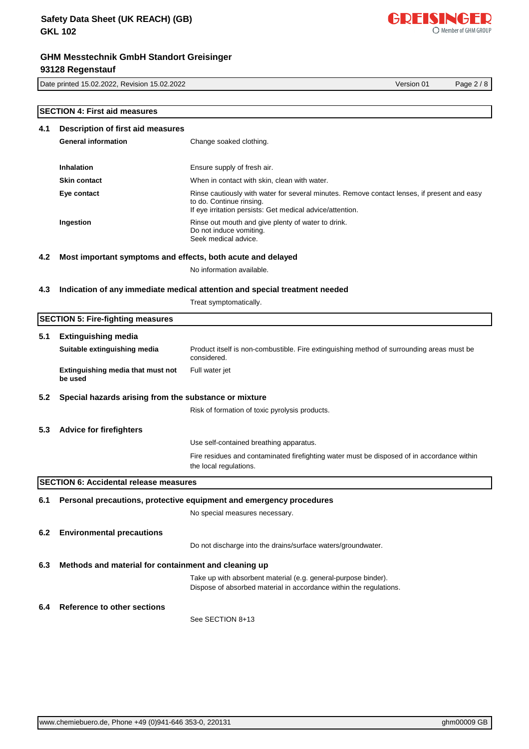Date printed 15.02.2022, Revision 15.02.2022 Version 01 Page 2 / 8

|     | <b>SECTION 4: First aid measures</b>                        |                                                                                                                                                                                      |
|-----|-------------------------------------------------------------|--------------------------------------------------------------------------------------------------------------------------------------------------------------------------------------|
| 4.1 | Description of first aid measures                           |                                                                                                                                                                                      |
|     | <b>General information</b>                                  | Change soaked clothing.                                                                                                                                                              |
|     | Inhalation                                                  | Ensure supply of fresh air.                                                                                                                                                          |
|     |                                                             |                                                                                                                                                                                      |
|     | <b>Skin contact</b>                                         | When in contact with skin, clean with water.                                                                                                                                         |
|     | Eye contact                                                 | Rinse cautiously with water for several minutes. Remove contact lenses, if present and easy<br>to do. Continue rinsing.<br>If eye irritation persists: Get medical advice/attention. |
|     | Ingestion                                                   | Rinse out mouth and give plenty of water to drink.<br>Do not induce vomiting.<br>Seek medical advice.                                                                                |
| 4.2 | Most important symptoms and effects, both acute and delayed |                                                                                                                                                                                      |
|     |                                                             | No information available.                                                                                                                                                            |
| 4.3 |                                                             | Indication of any immediate medical attention and special treatment needed                                                                                                           |
|     |                                                             | Treat symptomatically.                                                                                                                                                               |
|     | <b>SECTION 5: Fire-fighting measures</b>                    |                                                                                                                                                                                      |
| 5.1 | <b>Extinguishing media</b>                                  |                                                                                                                                                                                      |
|     | Suitable extinguishing media                                | Product itself is non-combustible. Fire extinguishing method of surrounding areas must be<br>considered.                                                                             |
|     | Extinguishing media that must not<br>be used                | Full water jet                                                                                                                                                                       |
| 5.2 | Special hazards arising from the substance or mixture       |                                                                                                                                                                                      |
|     |                                                             | Risk of formation of toxic pyrolysis products.                                                                                                                                       |
| 5.3 | <b>Advice for firefighters</b>                              |                                                                                                                                                                                      |
|     |                                                             | Use self-contained breathing apparatus.                                                                                                                                              |
|     |                                                             | Fire residues and contaminated firefighting water must be disposed of in accordance within<br>the local regulations.                                                                 |
|     | <b>SECTION 6: Accidental release measures</b>               |                                                                                                                                                                                      |
| 6.1 |                                                             | Personal precautions, protective equipment and emergency procedures                                                                                                                  |
|     |                                                             | No special measures necessary.                                                                                                                                                       |
| 6.2 | <b>Environmental precautions</b>                            |                                                                                                                                                                                      |
|     |                                                             | Do not discharge into the drains/surface waters/groundwater.                                                                                                                         |
| 6.3 | Methods and material for containment and cleaning up        |                                                                                                                                                                                      |
|     |                                                             | Take up with absorbent material (e.g. general-purpose binder).<br>Dispose of absorbed material in accordance within the regulations.                                                 |
| 6.4 | <b>Reference to other sections</b>                          |                                                                                                                                                                                      |
|     |                                                             | See SECTION 8+13                                                                                                                                                                     |
|     |                                                             |                                                                                                                                                                                      |

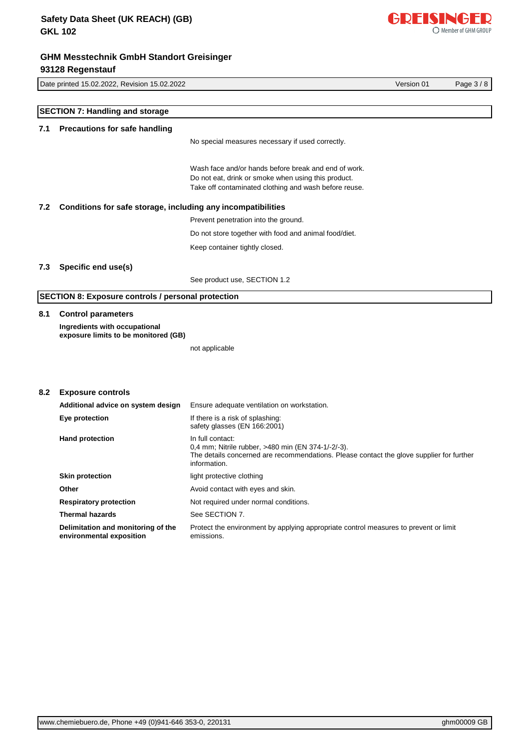[www.chemiebuero.de](http://www.chemiebuero.de), Phone +49 (0)941-646 353-0, 220131 ghm00009 GB

|     |                                                                       | INO Special Illeasures Hecessary II used correctly.                                                                                                                                |
|-----|-----------------------------------------------------------------------|------------------------------------------------------------------------------------------------------------------------------------------------------------------------------------|
|     |                                                                       | Wash face and/or hands before break and end of work.<br>Do not eat, drink or smoke when using this product.<br>Take off contaminated clothing and wash before reuse.               |
| 7.2 | Conditions for safe storage, including any incompatibilities          |                                                                                                                                                                                    |
|     |                                                                       | Prevent penetration into the ground.                                                                                                                                               |
|     |                                                                       | Do not store together with food and animal food/diet.                                                                                                                              |
|     |                                                                       | Keep container tightly closed.                                                                                                                                                     |
| 7.3 | Specific end use(s)                                                   |                                                                                                                                                                                    |
|     |                                                                       | See product use, SECTION 1.2                                                                                                                                                       |
|     | <b>SECTION 8: Exposure controls / personal protection</b>             |                                                                                                                                                                                    |
| 8.1 | <b>Control parameters</b>                                             |                                                                                                                                                                                    |
|     | Ingredients with occupational<br>exposure limits to be monitored (GB) |                                                                                                                                                                                    |
|     |                                                                       | not applicable                                                                                                                                                                     |
|     |                                                                       |                                                                                                                                                                                    |
| 8.2 | <b>Exposure controls</b>                                              |                                                                                                                                                                                    |
|     | Additional advice on system design                                    | Ensure adequate ventilation on workstation.                                                                                                                                        |
|     | Eye protection                                                        | If there is a risk of splashing:<br>safety glasses (EN 166:2001)                                                                                                                   |
|     | <b>Hand protection</b>                                                | In full contact:<br>0,4 mm; Nitrile rubber, >480 min (EN 374-1/-2/-3).<br>The details concerned are recommendations. Please contact the glove supplier for further<br>information. |
|     | <b>Skin protection</b>                                                | light protective clothing                                                                                                                                                          |
|     | Other                                                                 | Avoid contact with eyes and skin.                                                                                                                                                  |
|     | <b>Respiratory protection</b>                                         | Not required under normal conditions.                                                                                                                                              |

**7.1 Precautions for safe handling**

**SECTION 7: Handling and storage**

No special measures necessary if used correctly.

Date printed 15.02.2022, Revision 15.02.2022 Version 01 Page 3 / 8

#### **7.2 Cond**

## **7.3 Spec**

## **8.2 Expo**

| Additional advice on system design                             | Ensure adequate ventilation on workstation.                                                                                                                                        |
|----------------------------------------------------------------|------------------------------------------------------------------------------------------------------------------------------------------------------------------------------------|
| Eye protection                                                 | If there is a risk of splashing:<br>safety glasses (EN 166:2001)                                                                                                                   |
| <b>Hand protection</b>                                         | In full contact:<br>0.4 mm; Nitrile rubber, >480 min (EN 374-1/-2/-3).<br>The details concerned are recommendations. Please contact the glove supplier for further<br>information. |
| <b>Skin protection</b>                                         | light protective clothing                                                                                                                                                          |
| Other                                                          | Avoid contact with eyes and skin.                                                                                                                                                  |
| <b>Respiratory protection</b>                                  | Not required under normal conditions.                                                                                                                                              |
| <b>Thermal hazards</b>                                         | See SECTION 7.                                                                                                                                                                     |
| Delimitation and monitoring of the<br>environmental exposition | Protect the environment by applying appropriate control measures to prevent or limit<br>emissions.                                                                                 |

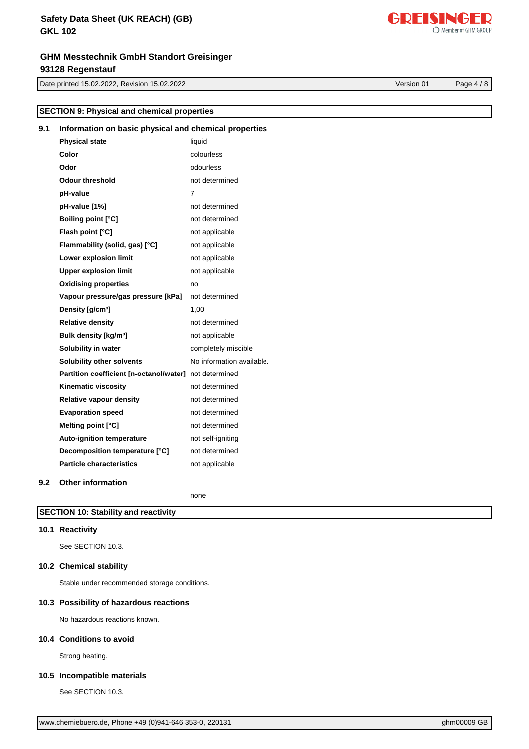# **Safety Data Sheet (UK REACH) (GB) GKL 102**

# **GHM Messtechnik GmbH Standort Greisinger 93128 Regenstauf**

Date printed 15.02.2022, Revision 15.02.2022 Version 01 Page 4 / 8

**SECTION 9: Physical and chemical properties**

| 9.1 | Information on basic physical and chemical properties  |                           |  |
|-----|--------------------------------------------------------|---------------------------|--|
|     | <b>Physical state</b>                                  | liquid                    |  |
|     | Color                                                  | colourless                |  |
|     | Odor                                                   | odourless                 |  |
|     | <b>Odour threshold</b>                                 | not determined            |  |
|     | pH-value                                               | 7                         |  |
|     | pH-value [1%]                                          | not determined            |  |
|     | <b>Boiling point [°C]</b>                              | not determined            |  |
|     | Flash point [°C]                                       | not applicable            |  |
|     | Flammability (solid, gas) [°C]                         | not applicable            |  |
|     | Lower explosion limit                                  | not applicable            |  |
|     | <b>Upper explosion limit</b>                           | not applicable            |  |
|     | <b>Oxidising properties</b>                            | no                        |  |
|     | Vapour pressure/gas pressure [kPa]                     | not determined            |  |
|     | Density [g/cm <sup>3</sup> ]                           | 1,00                      |  |
|     | <b>Relative density</b>                                | not determined            |  |
|     | Bulk density [kg/m <sup>3</sup> ]                      | not applicable            |  |
|     | Solubility in water                                    | completely miscible       |  |
|     | Solubility other solvents                              | No information available. |  |
|     | Partition coefficient [n-octanol/water] not determined |                           |  |
|     | Kinematic viscosity                                    | not determined            |  |
|     | Relative vapour density                                | not determined            |  |
|     | <b>Evaporation speed</b>                               | not determined            |  |
|     | Melting point [°C]                                     | not determined            |  |
|     | Auto-ignition temperature                              | not self-igniting         |  |
|     | Decomposition temperature [°C]                         | not determined            |  |
|     | <b>Particle characteristics</b>                        | not applicable            |  |
| 9.2 | <b>Other information</b>                               |                           |  |

none

# **SECTION 10: Stability and reactivity**

## **10.1 Reactivity**

See SECTION 10.3.

## **10.2 Chemical stability**

Stable under recommended storage conditions.

## **10.3 Possibility of hazardous reactions**

No hazardous reactions known.

#### **10.4 Conditions to avoid**

Strong heating.

## **10.5 Incompatible materials**

See SECTION 10.3.

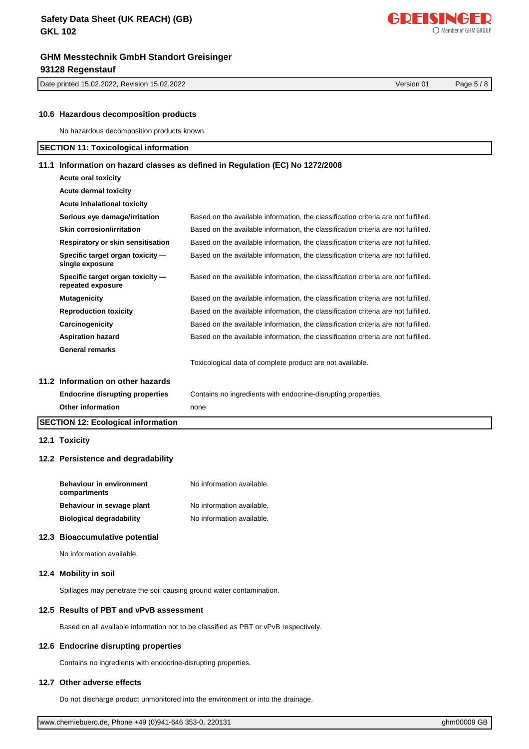Date printed 15.02.2022, Revision 15.02.2022 Version 01 Page 5 / 8

[www.chemiebuero.de](http://www.chemiebuero.de), Phone +49 (0)941-646 353-0, 220131 **GHT CONSERVERTED FOR SHIP CONSERVERTED** on the distribution

|  | e, Phone +49 (0)941-646 353-0, 220131 |  |
|--|---------------------------------------|--|
|--|---------------------------------------|--|

# **10.6 Hazardous decomposition products**

No hazardous decomposition products known.

## **SECTION 11: Toxicological information**

## **11.1 Information on hazard classes as defined in Regulation (EC) No 1272/2008**

| <b>Acute oral toxicity</b>                            |                                                                                    |
|-------------------------------------------------------|------------------------------------------------------------------------------------|
| <b>Acute dermal toxicity</b>                          |                                                                                    |
| Acute inhalational toxicity                           |                                                                                    |
| Serious eye damage/irritation                         | Based on the available information, the classification criteria are not fulfilled. |
| Skin corrosion/irritation                             | Based on the available information, the classification criteria are not fulfilled. |
| Respiratory or skin sensitisation                     | Based on the available information, the classification criteria are not fulfilled. |
| Specific target organ toxicity -<br>single exposure   | Based on the available information, the classification criteria are not fulfilled. |
| Specific target organ toxicity -<br>repeated exposure | Based on the available information, the classification criteria are not fulfilled. |
| <b>Mutagenicity</b>                                   | Based on the available information, the classification criteria are not fulfilled. |
| <b>Reproduction toxicity</b>                          | Based on the available information, the classification criteria are not fulfilled. |
| Carcinogenicity                                       | Based on the available information, the classification criteria are not fulfilled. |
| <b>Aspiration hazard</b>                              | Based on the available information, the classification criteria are not fulfilled. |
| <b>General remarks</b>                                |                                                                                    |
|                                                       | Toxicological data of complete product are not available.                          |
| 11.2 Information on other hazards                     |                                                                                    |
| <b>Endocrine disrupting properties</b>                | Contains no ingredients with endocrine-disrupting properties.                      |
| <b>Other information</b>                              | none                                                                               |
| <b>SECTION 12: Ecological information</b>             |                                                                                    |

**12.1 Toxicity**

#### **12.2 Persistence and degradability**

| <b>Behaviour in environment</b><br>compartments | No information available. |
|-------------------------------------------------|---------------------------|
| Behaviour in sewage plant                       | No information available. |
| <b>Biological degradability</b>                 | No information available. |

#### **12.3 Bioaccumulative potential**

No information available.

#### **12.4 Mobility in soil**

Spillages may penetrate the soil causing ground water contamination.

### **12.5 Results of PBT and vPvB assessment**

Based on all available information not to be classified as PBT or vPvB respectively.

## **12.6 Endocrine disrupting properties**

Contains no ingredients with endocrine-disrupting properties.

#### **12.7 Other adverse effects**

Do not discharge product unmonitored into the environment or into the drainage.

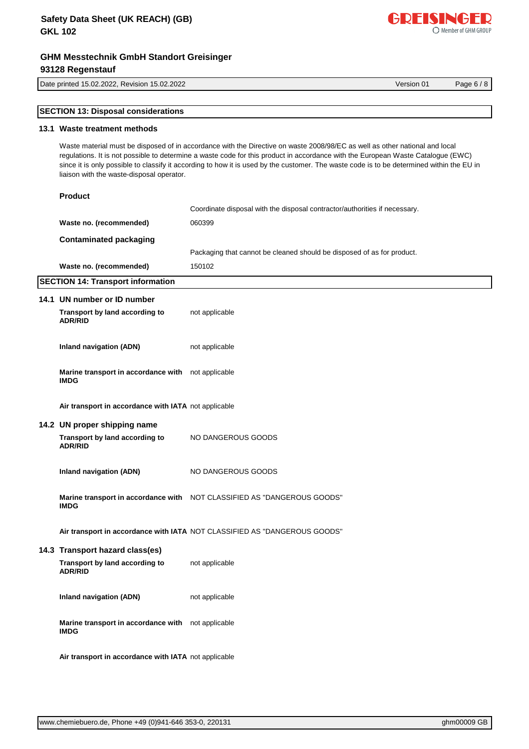# **Safety Data Sheet (UK REACH) (GB) GKL 102**

# **GHM Messtechnik GmbH Standort Greisinger 93128 Regenstauf**

Date printed 15.02.2022, Revision 15.02.2022 Version 01 Page 6 / 8

[www.chemiebuero.de](http://www.chemiebuero.de), Phone +49 (0)941-646 353-0, 220131 **GHz** CONSERVITED FOR STREAM of the US of the US of the US

|  | <b>SECTION 13: Disposal considerations</b> |  |
|--|--------------------------------------------|--|
|  |                                            |  |

## **13.1 Waste treatment methods**

Waste material must be disposed of in accordance with the Directive on waste 2008/98/EC as well as other national and local regulations. It is not possible to determine a waste code for this product in accordance with the European Waste Catalogue (EWC) since it is only possible to classify it according to how it is used by the customer. The waste code is to be determined within the EU in liaison with the waste-disposal operator.

| <b>Product</b>                                                    |                                                                            |
|-------------------------------------------------------------------|----------------------------------------------------------------------------|
|                                                                   | Coordinate disposal with the disposal contractor/authorities if necessary. |
| Waste no. (recommended)                                           | 060399                                                                     |
| <b>Contaminated packaging</b>                                     |                                                                            |
|                                                                   | Packaging that cannot be cleaned should be disposed of as for product.     |
| Waste no. (recommended)                                           | 150102                                                                     |
| <b>SECTION 14: Transport information</b>                          |                                                                            |
| 14.1 UN number or ID number                                       |                                                                            |
| Transport by land according to<br><b>ADR/RID</b>                  | not applicable                                                             |
| <b>Inland navigation (ADN)</b>                                    | not applicable                                                             |
| Marine transport in accordance with not applicable<br><b>IMDG</b> |                                                                            |
| Air transport in accordance with IATA not applicable              |                                                                            |
| 14.2 UN proper shipping name                                      |                                                                            |
| Transport by land according to<br><b>ADR/RID</b>                  | NO DANGEROUS GOODS                                                         |
| <b>Inland navigation (ADN)</b>                                    | NO DANGEROUS GOODS                                                         |
| <b>IMDG</b>                                                       | Marine transport in accordance with NOT CLASSIFIED AS "DANGEROUS GOODS"    |
|                                                                   | Air transport in accordance with IATA NOT CLASSIFIED AS "DANGEROUS GOODS"  |
| 14.3 Transport hazard class(es)                                   |                                                                            |
| Transport by land according to<br><b>ADR/RID</b>                  | not applicable                                                             |
| <b>Inland navigation (ADN)</b>                                    | not applicable                                                             |
| Marine transport in accordance with not applicable<br><b>IMDG</b> |                                                                            |
| Air transport in accordance with IATA not applicable              |                                                                            |

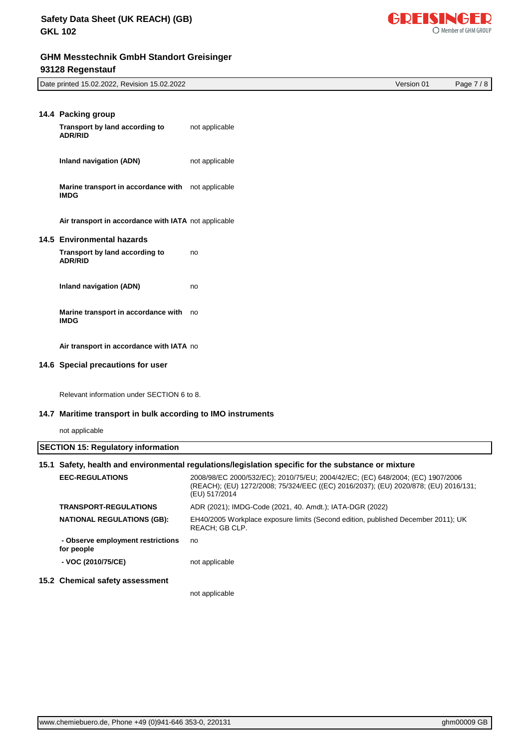

| Date printed 15.02.2022, Revision 15.02.2022 | Version 01 | $\sqrt{2}$<br>Page.<br>O |
|----------------------------------------------|------------|--------------------------|
|                                              |            |                          |

| 14.4 Packing group                                   |                |
|------------------------------------------------------|----------------|
| Transport by land according to<br><b>ADR/RID</b>     | not applicable |
| Inland navigation (ADN)                              | not applicable |
| Marine transport in accordance with<br><b>IMDG</b>   | not applicable |
| Air transport in accordance with IATA not applicable |                |
| 14.5 Environmental hazards                           |                |
| Transport by land according to<br><b>ADR/RID</b>     | no             |
| Inland navigation (ADN)                              | no             |
| Marine transport in accordance with<br><b>IMDG</b>   | no             |
| Air transport in accordance with IATA no             |                |

## **14.6 Special precautions for user**

Relevant information under SECTION 6 to 8.

### **14.7 Maritime transport in bulk according to IMO instruments**

not applicable

| <b>SECTION 15: Regulatory information</b> |  |
|-------------------------------------------|--|
|                                           |  |

| 15.1 Safety, health and environmental regulations/legislation specific for the substance or mixture |                                                                                                                                                                                        |  |
|-----------------------------------------------------------------------------------------------------|----------------------------------------------------------------------------------------------------------------------------------------------------------------------------------------|--|
| <b>EEC-REGULATIONS</b>                                                                              | 2008/98/EC 2000/532/EC); 2010/75/EU; 2004/42/EC; (EC) 648/2004; (EC) 1907/2006<br>(REACH); (EU) 1272/2008; 75/324/EEC ((EC) 2016/2037); (EU) 2020/878; (EU) 2016/131;<br>(EU) 517/2014 |  |
| <b>TRANSPORT-REGULATIONS</b>                                                                        | ADR (2021); IMDG-Code (2021, 40. Amdt.); IATA-DGR (2022)                                                                                                                               |  |
| <b>NATIONAL REGULATIONS (GB):</b>                                                                   | EH40/2005 Workplace exposure limits (Second edition, published December 2011); UK<br>REACH: GB CLP.                                                                                    |  |
| - Observe employment restrictions<br>for people                                                     | no                                                                                                                                                                                     |  |
| - VOC (2010/75/CE)                                                                                  | not applicable                                                                                                                                                                         |  |
| 15.2 Chemical safety assessment                                                                     |                                                                                                                                                                                        |  |
|                                                                                                     | not applicable                                                                                                                                                                         |  |